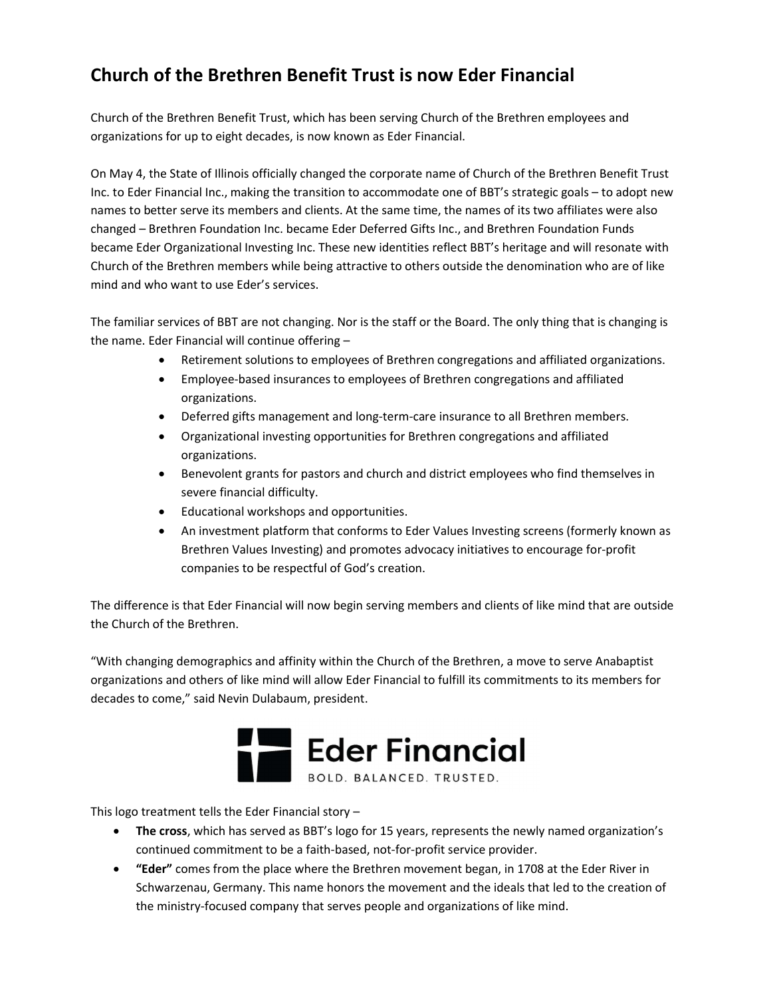## Church of the Brethren Benefit Trust is now Eder Financial

Church of the Brethren Benefit Trust, which has been serving Church of the Brethren employees and organizations for up to eight decades, is now known as Eder Financial.

On May 4, the State of Illinois officially changed the corporate name of Church of the Brethren Benefit Trust Inc. to Eder Financial Inc., making the transition to accommodate one of BBT's strategic goals – to adopt new names to better serve its members and clients. At the same time, the names of its two affiliates were also changed – Brethren Foundation Inc. became Eder Deferred Gifts Inc., and Brethren Foundation Funds became Eder Organizational Investing Inc. These new identities reflect BBT's heritage and will resonate with Church of the Brethren members while being attractive to others outside the denomination who are of like mind and who want to use Eder's services.

The familiar services of BBT are not changing. Nor is the staff or the Board. The only thing that is changing is the name. Eder Financial will continue offering –

- Retirement solutions to employees of Brethren congregations and affiliated organizations.
- Employee-based insurances to employees of Brethren congregations and affiliated organizations.
- Deferred gifts management and long-term-care insurance to all Brethren members.
- Organizational investing opportunities for Brethren congregations and affiliated organizations.
- Benevolent grants for pastors and church and district employees who find themselves in severe financial difficulty.
- Educational workshops and opportunities.
- An investment platform that conforms to Eder Values Investing screens (formerly known as Brethren Values Investing) and promotes advocacy initiatives to encourage for-profit companies to be respectful of God's creation.

The difference is that Eder Financial will now begin serving members and clients of like mind that are outside the Church of the Brethren.

"With changing demographics and affinity within the Church of the Brethren, a move to serve Anabaptist organizations and others of like mind will allow Eder Financial to fulfill its commitments to its members for decades to come," said Nevin Dulabaum, president.



This logo treatment tells the Eder Financial story –

- The cross, which has served as BBT's logo for 15 years, represents the newly named organization's continued commitment to be a faith-based, not-for-profit service provider.
- "Eder" comes from the place where the Brethren movement began, in 1708 at the Eder River in Schwarzenau, Germany. This name honors the movement and the ideals that led to the creation of the ministry-focused company that serves people and organizations of like mind.